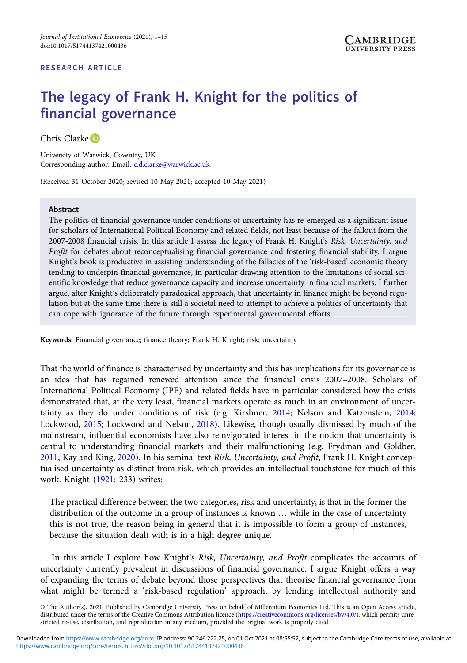# The legacy of Frank H. Knight for the politics of financial governance

Chris Clarke<sup>D</sup>

University of Warwick, Coventry, UK Corresponding author. Email: [c.d.clarke@warwick.ac.uk](mailto:c.d.clarke@warwick.ac.uk)

(Received 31 October 2020; revised 10 May 2021; accepted 10 May 2021)

#### Abstract

The politics of financial governance under conditions of uncertainty has re-emerged as a significant issue for scholars of International Political Economy and related fields, not least because of the fallout from the 2007-2008 financial crisis. In this article I assess the legacy of Frank H. Knight's Risk, Uncertainty, and Profit for debates about reconceptualising financial governance and fostering financial stability. I argue Knight's book is productive in assisting understanding of the fallacies of the 'risk-based' economic theory tending to underpin financial governance, in particular drawing attention to the limitations of social scientific knowledge that reduce governance capacity and increase uncertainty in financial markets. I further argue, after Knight's deliberately paradoxical approach, that uncertainty in finance might be beyond regulation but at the same time there is still a societal need to attempt to achieve a politics of uncertainty that can cope with ignorance of the future through experimental governmental efforts.

Keywords: Financial governance; finance theory; Frank H. Knight; risk; uncertainty

That the world of finance is characterised by uncertainty and this has implications for its governance is an idea that has regained renewed attention since the financial crisis 2007–2008. Scholars of International Political Economy (IPE) and related fields have in particular considered how the crisis demonstrated that, at the very least, financial markets operate as much in an environment of uncertainty as they do under conditions of risk (e.g. Kirshner, [2014;](#page-13-0) Nelson and Katzenstein, [2014](#page-13-0); Lockwood, [2015](#page-13-0); Lockwood and Nelson, [2018](#page-13-0)). Likewise, though usually dismissed by much of the mainstream, influential economists have also reinvigorated interest in the notion that uncertainty is central to understanding financial markets and their malfunctioning (e.g. Frydman and Goldber, [2011](#page-13-0); Kay and King, [2020\)](#page-13-0). In his seminal text Risk, Uncertainty, and Profit, Frank H. Knight conceptualised uncertainty as distinct from risk, which provides an intellectual touchstone for much of this work. Knight ([1921](#page-13-0): 233) writes:

The practical difference between the two categories, risk and uncertainty, is that in the former the distribution of the outcome in a group of instances is known … while in the case of uncertainty this is not true, the reason being in general that it is impossible to form a group of instances, because the situation dealt with is in a high degree unique.

In this article I explore how Knight's Risk, Uncertainty, and Profit complicates the accounts of uncertainty currently prevalent in discussions of financial governance. I argue Knight offers a way of expanding the terms of debate beyond those perspectives that theorise financial governance from what might be termed a 'risk-based regulation' approach, by lending intellectual authority and

© The Author(s), 2021. Published by Cambridge University Press on behalf of Millennium Economics Ltd. This is an Open Access article, distributed under the terms of the Creative Commons Attribution licence [\(https://creativecommons.org/licenses/by/4.0/\)](https://creativecommons.org/licenses/by/4.0/), which permits unrestricted re-use, distribution, and reproduction in any medium, provided the original work is properly cited.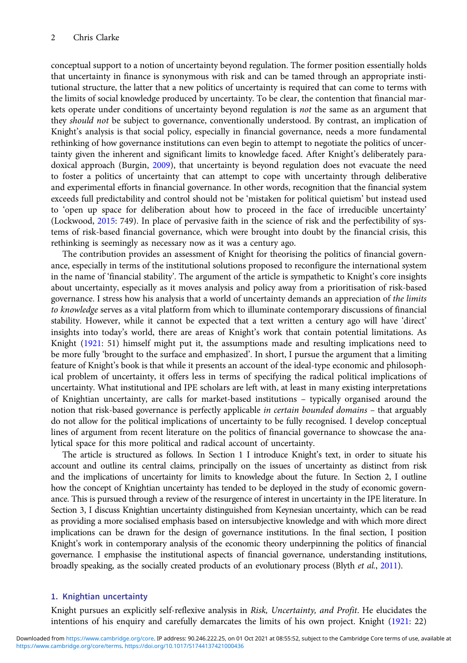conceptual support to a notion of uncertainty beyond regulation. The former position essentially holds that uncertainty in finance is synonymous with risk and can be tamed through an appropriate institutional structure, the latter that a new politics of uncertainty is required that can come to terms with the limits of social knowledge produced by uncertainty. To be clear, the contention that financial markets operate under conditions of uncertainty beyond regulation is not the same as an argument that they should not be subject to governance, conventionally understood. By contrast, an implication of Knight's analysis is that social policy, especially in financial governance, needs a more fundamental rethinking of how governance institutions can even begin to attempt to negotiate the politics of uncertainty given the inherent and significant limits to knowledge faced. After Knight's deliberately para-doxical approach (Burgin, [2009\)](#page-12-0), that uncertainty is beyond regulation does not evacuate the need to foster a politics of uncertainty that can attempt to cope with uncertainty through deliberative and experimental efforts in financial governance. In other words, recognition that the financial system exceeds full predictability and control should not be 'mistaken for political quietism' but instead used to 'open up space for deliberation about how to proceed in the face of irreducible uncertainty' (Lockwood, [2015:](#page-13-0) 749). In place of pervasive faith in the science of risk and the perfectibility of systems of risk-based financial governance, which were brought into doubt by the financial crisis, this rethinking is seemingly as necessary now as it was a century ago.

The contribution provides an assessment of Knight for theorising the politics of financial governance, especially in terms of the institutional solutions proposed to reconfigure the international system in the name of 'financial stability'. The argument of the article is sympathetic to Knight's core insights about uncertainty, especially as it moves analysis and policy away from a prioritisation of risk-based governance. I stress how his analysis that a world of uncertainty demands an appreciation of the limits to knowledge serves as a vital platform from which to illuminate contemporary discussions of financial stability. However, while it cannot be expected that a text written a century ago will have 'direct' insights into today's world, there are areas of Knight's work that contain potential limitations. As Knight [\(1921](#page-13-0): 51) himself might put it, the assumptions made and resulting implications need to be more fully 'brought to the surface and emphasized'. In short, I pursue the argument that a limiting feature of Knight's book is that while it presents an account of the ideal-type economic and philosophical problem of uncertainty, it offers less in terms of specifying the radical political implications of uncertainty. What institutional and IPE scholars are left with, at least in many existing interpretations of Knightian uncertainty, are calls for market-based institutions – typically organised around the notion that risk-based governance is perfectly applicable *in certain bounded domains* – that arguably do not allow for the political implications of uncertainty to be fully recognised. I develop conceptual lines of argument from recent literature on the politics of financial governance to showcase the analytical space for this more political and radical account of uncertainty.

The article is structured as follows. In Section 1 I introduce Knight's text, in order to situate his account and outline its central claims, principally on the issues of uncertainty as distinct from risk and the implications of uncertainty for limits to knowledge about the future. In Section 2, I outline how the concept of Knightian uncertainty has tended to be deployed in the study of economic governance. This is pursued through a review of the resurgence of interest in uncertainty in the IPE literature. In Section 3, I discuss Knightian uncertainty distinguished from Keynesian uncertainty, which can be read as providing a more socialised emphasis based on intersubjective knowledge and with which more direct implications can be drawn for the design of governance institutions. In the final section, I position Knight's work in contemporary analysis of the economic theory underpinning the politics of financial governance. I emphasise the institutional aspects of financial governance, understanding institutions, broadly speaking, as the socially created products of an evolutionary process (Blyth et al., [2011](#page-12-0)).

# 1. Knightian uncertainty

Knight pursues an explicitly self-reflexive analysis in Risk, Uncertainty, and Profit. He elucidates the intentions of his enquiry and carefully demarcates the limits of his own project. Knight ([1921](#page-13-0): 22)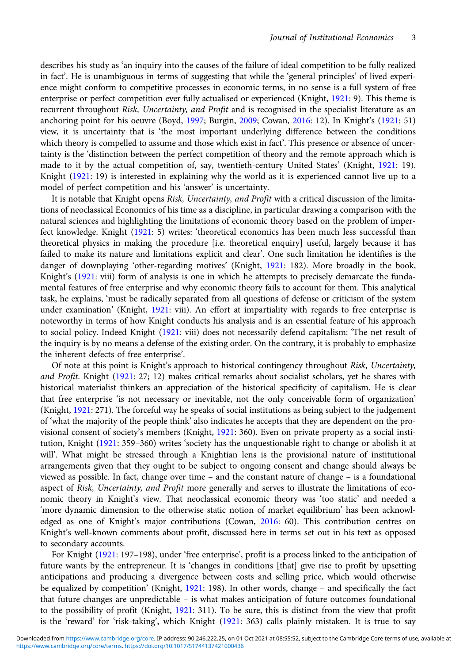describes his study as 'an inquiry into the causes of the failure of ideal competition to be fully realized in fact'. He is unambiguous in terms of suggesting that while the 'general principles' of lived experience might conform to competitive processes in economic terms, in no sense is a full system of free enterprise or perfect competition ever fully actualised or experienced (Knight, [1921](#page-13-0): 9). This theme is recurrent throughout Risk, Uncertainty, and Profit and is recognised in the specialist literature as an anchoring point for his oeuvre (Boyd, [1997](#page-12-0); Burgin, [2009;](#page-12-0) Cowan, [2016:](#page-12-0) 12). In Knight's ([1921](#page-13-0): 51) view, it is uncertainty that is 'the most important underlying difference between the conditions which theory is compelled to assume and those which exist in fact'. This presence or absence of uncertainty is the 'distinction between the perfect competition of theory and the remote approach which is made to it by the actual competition of, say, twentieth-century United States' (Knight, [1921](#page-13-0): 19). Knight ([1921](#page-13-0): 19) is interested in explaining why the world as it is experienced cannot live up to a model of perfect competition and his 'answer' is uncertainty.

It is notable that Knight opens Risk, Uncertainty, and Profit with a critical discussion of the limitations of neoclassical Economics of his time as a discipline, in particular drawing a comparison with the natural sciences and highlighting the limitations of economic theory based on the problem of imperfect knowledge. Knight ([1921](#page-13-0): 5) writes: 'theoretical economics has been much less successful than theoretical physics in making the procedure [i.e. theoretical enquiry] useful, largely because it has failed to make its nature and limitations explicit and clear'. One such limitation he identifies is the danger of downplaying 'other-regarding motives' (Knight, [1921:](#page-13-0) 182). More broadly in the book, Knight's ([1921:](#page-13-0) viii) form of analysis is one in which he attempts to precisely demarcate the fundamental features of free enterprise and why economic theory fails to account for them. This analytical task, he explains, 'must be radically separated from all questions of defense or criticism of the system under examination' (Knight, [1921:](#page-13-0) viii). An effort at impartiality with regards to free enterprise is noteworthy in terms of how Knight conducts his analysis and is an essential feature of his approach to social policy. Indeed Knight [\(1921:](#page-13-0) viii) does not necessarily defend capitalism: 'The net result of the inquiry is by no means a defense of the existing order. On the contrary, it is probably to emphasize the inherent defects of free enterprise'.

Of note at this point is Knight's approach to historical contingency throughout Risk, Uncertainty, and Profit. Knight [\(1921:](#page-13-0) 27; 12) makes critical remarks about socialist scholars, yet he shares with historical materialist thinkers an appreciation of the historical specificity of capitalism. He is clear that free enterprise 'is not necessary or inevitable, not the only conceivable form of organization' (Knight, [1921](#page-13-0): 271). The forceful way he speaks of social institutions as being subject to the judgement of 'what the majority of the people think' also indicates he accepts that they are dependent on the provisional consent of society's members (Knight, [1921:](#page-13-0) 360). Even on private property as a social institution, Knight ([1921:](#page-13-0) 359–360) writes 'society has the unquestionable right to change or abolish it at will'. What might be stressed through a Knightian lens is the provisional nature of institutional arrangements given that they ought to be subject to ongoing consent and change should always be viewed as possible. In fact, change over time – and the constant nature of change – is a foundational aspect of Risk, Uncertainty, and Profit more generally and serves to illustrate the limitations of economic theory in Knight's view. That neoclassical economic theory was 'too static' and needed a 'more dynamic dimension to the otherwise static notion of market equilibrium' has been acknowledged as one of Knight's major contributions (Cowan, [2016:](#page-12-0) 60). This contribution centres on Knight's well-known comments about profit, discussed here in terms set out in his text as opposed to secondary accounts.

For Knight ([1921:](#page-13-0) 197–198), under 'free enterprise', profit is a process linked to the anticipation of future wants by the entrepreneur. It is 'changes in conditions [that] give rise to profit by upsetting anticipations and producing a divergence between costs and selling price, which would otherwise be equalized by competition' (Knight, [1921](#page-13-0): 198). In other words, change – and specifically the fact that future changes are unpredictable – is what makes anticipation of future outcomes foundational to the possibility of profit (Knight, [1921:](#page-13-0) 311). To be sure, this is distinct from the view that profit is the 'reward' for 'risk-taking', which Knight [\(1921:](#page-13-0) 363) calls plainly mistaken. It is true to say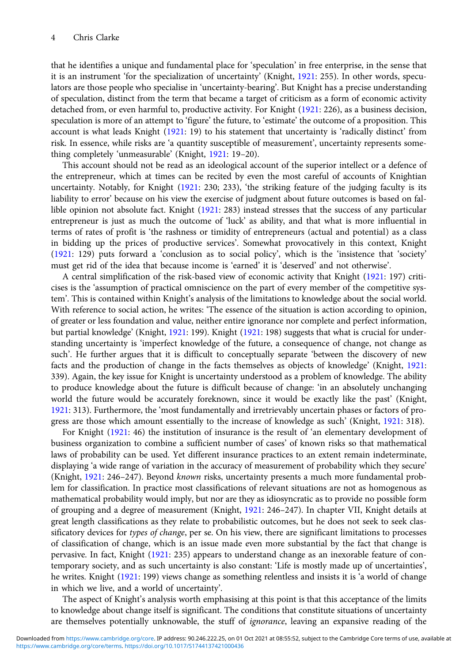that he identifies a unique and fundamental place for 'speculation' in free enterprise, in the sense that it is an instrument 'for the specialization of uncertainty' (Knight, [1921](#page-13-0): 255). In other words, speculators are those people who specialise in 'uncertainty-bearing'. But Knight has a precise understanding of speculation, distinct from the term that became a target of criticism as a form of economic activity detached from, or even harmful to, productive activity. For Knight [\(1921](#page-13-0): 226), as a business decision, speculation is more of an attempt to 'figure' the future, to 'estimate' the outcome of a proposition. This account is what leads Knight [\(1921:](#page-13-0) 19) to his statement that uncertainty is 'radically distinct' from risk. In essence, while risks are 'a quantity susceptible of measurement', uncertainty represents something completely 'unmeasurable' (Knight, [1921](#page-13-0): 19–20).

This account should not be read as an ideological account of the superior intellect or a defence of the entrepreneur, which at times can be recited by even the most careful of accounts of Knightian uncertainty. Notably, for Knight ([1921:](#page-13-0) 230; 233), 'the striking feature of the judging faculty is its liability to error' because on his view the exercise of judgment about future outcomes is based on fallible opinion not absolute fact. Knight [\(1921](#page-13-0): 283) instead stresses that the success of any particular entrepreneur is just as much the outcome of 'luck' as ability, and that what is more influential in terms of rates of profit is 'the rashness or timidity of entrepreneurs (actual and potential) as a class in bidding up the prices of productive services'. Somewhat provocatively in this context, Knight [\(1921:](#page-13-0) 129) puts forward a 'conclusion as to social policy', which is the 'insistence that 'society' must get rid of the idea that because income is 'earned' it is 'deserved' and not otherwise'.

A central simplification of the risk-based view of economic activity that Knight ([1921:](#page-13-0) 197) criticises is the 'assumption of practical omniscience on the part of every member of the competitive system'. This is contained within Knight's analysis of the limitations to knowledge about the social world. With reference to social action, he writes: 'The essence of the situation is action according to opinion, of greater or less foundation and value, neither entire ignorance nor complete and perfect information, but partial knowledge' (Knight, [1921:](#page-13-0) 199). Knight ([1921:](#page-13-0) 198) suggests that what is crucial for understanding uncertainty is 'imperfect knowledge of the future, a consequence of change, not change as such'. He further argues that it is difficult to conceptually separate 'between the discovery of new facts and the production of change in the facts themselves as objects of knowledge' (Knight, [1921:](#page-13-0) 339). Again, the key issue for Knight is uncertainty understood as a problem of knowledge. The ability to produce knowledge about the future is difficult because of change: 'in an absolutely unchanging world the future would be accurately foreknown, since it would be exactly like the past' (Knight, [1921:](#page-13-0) 313). Furthermore, the 'most fundamentally and irretrievably uncertain phases or factors of progress are those which amount essentially to the increase of knowledge as such' (Knight, [1921:](#page-13-0) 318).

For Knight ([1921](#page-13-0): 46) the institution of insurance is the result of 'an elementary development of business organization to combine a sufficient number of cases' of known risks so that mathematical laws of probability can be used. Yet different insurance practices to an extent remain indeterminate, displaying 'a wide range of variation in the accuracy of measurement of probability which they secure' (Knight, [1921:](#page-13-0) 246–247). Beyond known risks, uncertainty presents a much more fundamental problem for classification. In practice most classifications of relevant situations are not as homogenous as mathematical probability would imply, but nor are they as idiosyncratic as to provide no possible form of grouping and a degree of measurement (Knight, [1921:](#page-13-0) 246–247). In chapter VII, Knight details at great length classifications as they relate to probabilistic outcomes, but he does not seek to seek classificatory devices for types of change, per se. On his view, there are significant limitations to processes of classification of change, which is an issue made even more substantial by the fact that change is pervasive. In fact, Knight ([1921](#page-13-0): 235) appears to understand change as an inexorable feature of contemporary society, and as such uncertainty is also constant: 'Life is mostly made up of uncertainties', he writes. Knight [\(1921:](#page-13-0) 199) views change as something relentless and insists it is 'a world of change in which we live, and a world of uncertainty'.

The aspect of Knight's analysis worth emphasising at this point is that this acceptance of the limits to knowledge about change itself is significant. The conditions that constitute situations of uncertainty are themselves potentially unknowable, the stuff of *ignorance*, leaving an expansive reading of the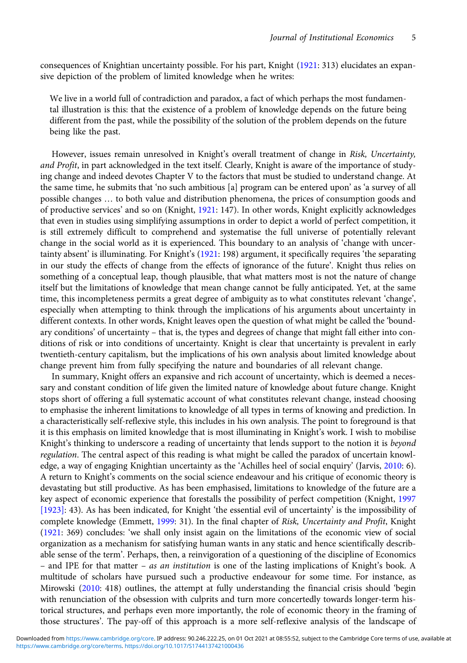consequences of Knightian uncertainty possible. For his part, Knight ([1921](#page-13-0): 313) elucidates an expansive depiction of the problem of limited knowledge when he writes:

We live in a world full of contradiction and paradox, a fact of which perhaps the most fundamental illustration is this: that the existence of a problem of knowledge depends on the future being different from the past, while the possibility of the solution of the problem depends on the future being like the past.

However, issues remain unresolved in Knight's overall treatment of change in Risk, Uncertainty, and Profit, in part acknowledged in the text itself. Clearly, Knight is aware of the importance of studying change and indeed devotes Chapter V to the factors that must be studied to understand change. At the same time, he submits that 'no such ambitious [a] program can be entered upon' as 'a survey of all possible changes … to both value and distribution phenomena, the prices of consumption goods and of productive services' and so on (Knight, [1921:](#page-13-0) 147). In other words, Knight explicitly acknowledges that even in studies using simplifying assumptions in order to depict a world of perfect competition, it is still extremely difficult to comprehend and systematise the full universe of potentially relevant change in the social world as it is experienced. This boundary to an analysis of 'change with uncertainty absent' is illuminating. For Knight's ([1921](#page-13-0): 198) argument, it specifically requires 'the separating in our study the effects of change from the effects of ignorance of the future'. Knight thus relies on something of a conceptual leap, though plausible, that what matters most is not the nature of change itself but the limitations of knowledge that mean change cannot be fully anticipated. Yet, at the same time, this incompleteness permits a great degree of ambiguity as to what constitutes relevant 'change', especially when attempting to think through the implications of his arguments about uncertainty in different contexts. In other words, Knight leaves open the question of what might be called the 'boundary conditions' of uncertainty – that is, the types and degrees of change that might fall either into conditions of risk or into conditions of uncertainty. Knight is clear that uncertainty is prevalent in early twentieth-century capitalism, but the implications of his own analysis about limited knowledge about change prevent him from fully specifying the nature and boundaries of all relevant change.

In summary, Knight offers an expansive and rich account of uncertainty, which is deemed a necessary and constant condition of life given the limited nature of knowledge about future change. Knight stops short of offering a full systematic account of what constitutes relevant change, instead choosing to emphasise the inherent limitations to knowledge of all types in terms of knowing and prediction. In a characteristically self-reflexive style, this includes in his own analysis. The point to foreground is that it is this emphasis on limited knowledge that is most illuminating in Knight's work. I wish to mobilise Knight's thinking to underscore a reading of uncertainty that lends support to the notion it is beyond regulation. The central aspect of this reading is what might be called the paradox of uncertain knowledge, a way of engaging Knightian uncertainty as the 'Achilles heel of social enquiry' (Jarvis, [2010](#page-13-0): 6). A return to Knight's comments on the social science endeavour and his critique of economic theory is devastating but still productive. As has been emphasised, limitations to knowledge of the future are a key aspect of economic experience that forestalls the possibility of perfect competition (Knight, [1997](#page-13-0) [\[1923\]:](#page-13-0) 43). As has been indicated, for Knight 'the essential evil of uncertainty' is the impossibility of complete knowledge (Emmett, [1999](#page-13-0): 31). In the final chapter of Risk, Uncertainty and Profit, Knight ([1921:](#page-13-0) 369) concludes: 'we shall only insist again on the limitations of the economic view of social organization as a mechanism for satisfying human wants in any static and hence scientifically describable sense of the term'. Perhaps, then, a reinvigoration of a questioning of the discipline of Economics – and IPE for that matter – as an institution is one of the lasting implications of Knight's book. A multitude of scholars have pursued such a productive endeavour for some time. For instance, as Mirowski ([2010](#page-13-0): 418) outlines, the attempt at fully understanding the financial crisis should 'begin with renunciation of the obsession with culprits and turn more concertedly towards longer-term historical structures, and perhaps even more importantly, the role of economic theory in the framing of those structures'. The pay-off of this approach is a more self-reflexive analysis of the landscape of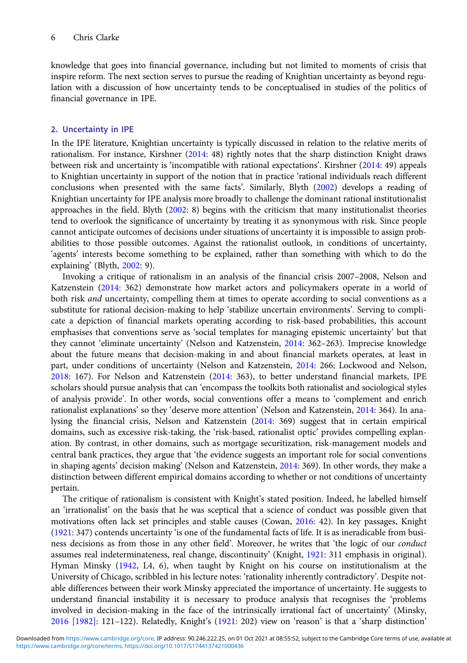knowledge that goes into financial governance, including but not limited to moments of crisis that inspire reform. The next section serves to pursue the reading of Knightian uncertainty as beyond regulation with a discussion of how uncertainty tends to be conceptualised in studies of the politics of financial governance in IPE.

## 2. Uncertainty in IPE

In the IPE literature, Knightian uncertainty is typically discussed in relation to the relative merits of rationalism. For instance, Kirshner ([2014:](#page-13-0) 48) rightly notes that the sharp distinction Knight draws between risk and uncertainty is 'incompatible with rational expectations'. Kirshner ([2014](#page-13-0): 49) appeals to Knightian uncertainty in support of the notion that in practice 'rational individuals reach different conclusions when presented with the same facts'. Similarly, Blyth [\(2002](#page-12-0)) develops a reading of Knightian uncertainty for IPE analysis more broadly to challenge the dominant rational institutionalist approaches in the field. Blyth [\(2002](#page-12-0): 8) begins with the criticism that many institutionalist theories tend to overlook the significance of uncertainty by treating it as synonymous with risk. Since people cannot anticipate outcomes of decisions under situations of uncertainty it is impossible to assign probabilities to those possible outcomes. Against the rationalist outlook, in conditions of uncertainty, 'agents' interests become something to be explained, rather than something with which to do the explaining' (Blyth, [2002:](#page-12-0) 9).

Invoking a critique of rationalism in an analysis of the financial crisis 2007–2008, Nelson and Katzenstein ([2014:](#page-13-0) 362) demonstrate how market actors and policymakers operate in a world of both risk and uncertainty, compelling them at times to operate according to social conventions as a substitute for rational decision-making to help 'stabilize uncertain environments'. Serving to complicate a depiction of financial markets operating according to risk-based probabilities, this account emphasises that conventions serve as 'social templates for managing epistemic uncertainty' but that they cannot 'eliminate uncertainty' (Nelson and Katzenstein, [2014](#page-13-0): 362–263). Imprecise knowledge about the future means that decision-making in and about financial markets operates, at least in part, under conditions of uncertainty (Nelson and Katzenstein, [2014:](#page-13-0) 266; Lockwood and Nelson, [2018:](#page-13-0) 167). For Nelson and Katzenstein [\(2014](#page-13-0): 363), to better understand financial markets, IPE scholars should pursue analysis that can 'encompass the toolkits both rationalist and sociological styles of analysis provide'. In other words, social conventions offer a means to 'complement and enrich rationalist explanations' so they 'deserve more attention' (Nelson and Katzenstein, [2014](#page-13-0): 364). In analysing the financial crisis, Nelson and Katzenstein ([2014:](#page-13-0) 369) suggest that in certain empirical domains, such as excessive risk-taking, the 'risk-based, rationalist optic' provides compelling explanation. By contrast, in other domains, such as mortgage securitization, risk-management models and central bank practices, they argue that 'the evidence suggests an important role for social conventions in shaping agents' decision making' (Nelson and Katzenstein, [2014](#page-13-0): 369). In other words, they make a distinction between different empirical domains according to whether or not conditions of uncertainty pertain.

The critique of rationalism is consistent with Knight's stated position. Indeed, he labelled himself an 'irrationalist' on the basis that he was sceptical that a science of conduct was possible given that motivations often lack set principles and stable causes (Cowan, [2016](#page-12-0): 42). In key passages, Knight [\(1921:](#page-13-0) 347) contends uncertainty 'is one of the fundamental facts of life. It is as ineradicable from business decisions as from those in any other field'. Moreover, he writes that 'the logic of our conduct assumes real indeterminateness, real change, discontinuity' (Knight, [1921](#page-13-0): 311 emphasis in original). Hyman Minsky ([1942](#page-13-0), L4, 6), when taught by Knight on his course on institutionalism at the University of Chicago, scribbled in his lecture notes: 'rationality inherently contradictory'. Despite notable differences between their work Minsky appreciated the importance of uncertainty. He suggests to understand financial instability it is necessary to produce analysis that recognises the 'problems involved in decision-making in the face of the intrinsically irrational fact of uncertainty' (Minsky, [2016 \[1982\]:](#page-13-0) 121–122). Relatedly, Knight's ([1921:](#page-13-0) 202) view on 'reason' is that a 'sharp distinction'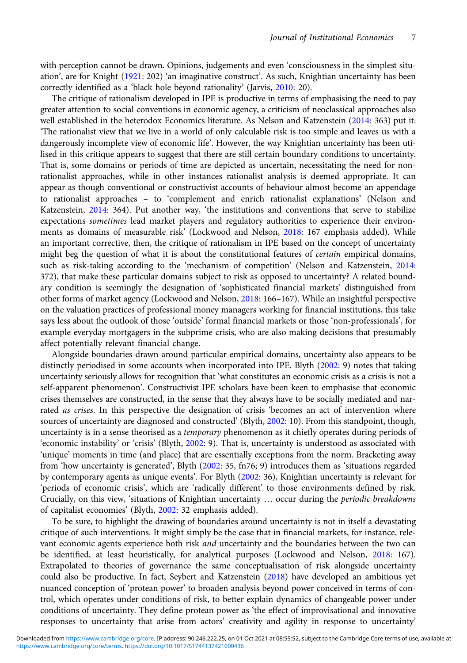with perception cannot be drawn. Opinions, judgements and even 'consciousness in the simplest situation', are for Knight [\(1921:](#page-13-0) 202) 'an imaginative construct'. As such, Knightian uncertainty has been correctly identified as a 'black hole beyond rationality' (Jarvis, [2010:](#page-13-0) 20).

The critique of rationalism developed in IPE is productive in terms of emphasising the need to pay greater attention to social conventions in economic agency, a criticism of neoclassical approaches also well established in the heterodox Economics literature. As Nelson and Katzenstein ([2014](#page-13-0): 363) put it: 'The rationalist view that we live in a world of only calculable risk is too simple and leaves us with a dangerously incomplete view of economic life'. However, the way Knightian uncertainty has been utilised in this critique appears to suggest that there are still certain boundary conditions to uncertainty. That is, some domains or periods of time are depicted as uncertain, necessitating the need for nonrationalist approaches, while in other instances rationalist analysis is deemed appropriate. It can appear as though conventional or constructivist accounts of behaviour almost become an appendage to rationalist approaches – to 'complement and enrich rationalist explanations' (Nelson and Katzenstein, [2014:](#page-13-0) 364). Put another way, 'the institutions and conventions that serve to stabilize expectations sometimes lead market players and regulatory authorities to experience their environments as domains of measurable risk' (Lockwood and Nelson, [2018](#page-13-0): 167 emphasis added). While an important corrective, then, the critique of rationalism in IPE based on the concept of uncertainty might beg the question of what it is about the constitutional features of *certain* empirical domains, such as risk-taking according to the 'mechanism of competition' (Nelson and Katzenstein, [2014](#page-13-0): 372), that make these particular domains subject to risk as opposed to uncertainty? A related boundary condition is seemingly the designation of 'sophisticated financial markets' distinguished from other forms of market agency (Lockwood and Nelson, [2018](#page-13-0): 166–167). While an insightful perspective on the valuation practices of professional money managers working for financial institutions, this take says less about the outlook of those 'outside' formal financial markets or those 'non-professionals', for example everyday mortgagers in the subprime crisis, who are also making decisions that presumably affect potentially relevant financial change.

Alongside boundaries drawn around particular empirical domains, uncertainty also appears to be distinctly periodised in some accounts when incorporated into IPE. Blyth [\(2002](#page-12-0): 9) notes that taking uncertainty seriously allows for recognition that 'what constitutes an economic crisis as a crisis is not a self-apparent phenomenon'. Constructivist IPE scholars have been keen to emphasise that economic crises themselves are constructed, in the sense that they always have to be socially mediated and narrated as crises. In this perspective the designation of crisis 'becomes an act of intervention where sources of uncertainty are diagnosed and constructed' (Blyth, [2002:](#page-12-0) 10). From this standpoint, though, uncertainty is in a sense theorised as a *temporary* phenomenon as it chiefly operates during periods of 'economic instability' or 'crisis' (Blyth, [2002:](#page-12-0) 9). That is, uncertainty is understood as associated with 'unique' moments in time (and place) that are essentially exceptions from the norm. Bracketing away from 'how uncertainty is generated', Blyth ([2002:](#page-12-0) 35, fn76; 9) introduces them as 'situations regarded by contemporary agents as unique events'. For Blyth ([2002](#page-12-0): 36), Knightian uncertainty is relevant for 'periods of economic crisis', which are 'radically different' to those environments defined by risk. Crucially, on this view, 'situations of Knightian uncertainty … occur during the periodic breakdowns of capitalist economies' (Blyth, [2002](#page-12-0): 32 emphasis added).

To be sure, to highlight the drawing of boundaries around uncertainty is not in itself a devastating critique of such interventions. It might simply be the case that in financial markets, for instance, relevant economic agents experience both risk *and* uncertainty and the boundaries between the two can be identified, at least heuristically, for analytical purposes (Lockwood and Nelson, [2018](#page-13-0): 167). Extrapolated to theories of governance the same conceptualisation of risk alongside uncertainty could also be productive. In fact, Seybert and Katzenstein [\(2018\)](#page-14-0) have developed an ambitious yet nuanced conception of 'protean power' to broaden analysis beyond power conceived in terms of control, which operates under conditions of risk, to better explain dynamics of changeable power under conditions of uncertainty. They define protean power as 'the effect of improvisational and innovative responses to uncertainty that arise from actors' creativity and agility in response to uncertainty'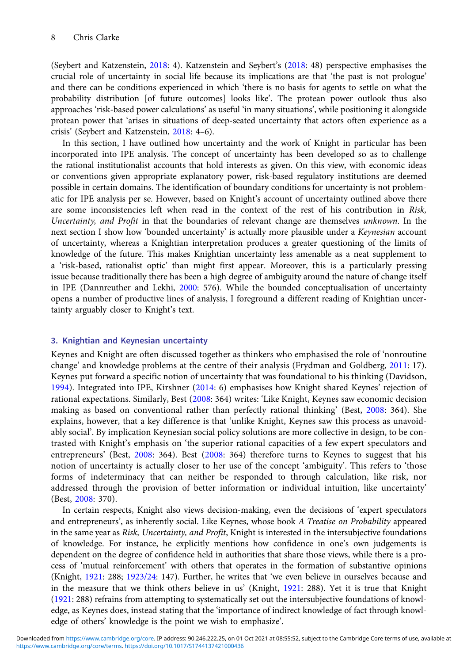(Seybert and Katzenstein, [2018:](#page-14-0) 4). Katzenstein and Seybert's ([2018:](#page-13-0) 48) perspective emphasises the crucial role of uncertainty in social life because its implications are that 'the past is not prologue' and there can be conditions experienced in which 'there is no basis for agents to settle on what the probability distribution [of future outcomes] looks like'. The protean power outlook thus also approaches 'risk-based power calculations' as useful 'in many situations', while positioning it alongside protean power that 'arises in situations of deep-seated uncertainty that actors often experience as a crisis' (Seybert and Katzenstein, [2018](#page-14-0): 4–6).

In this section, I have outlined how uncertainty and the work of Knight in particular has been incorporated into IPE analysis. The concept of uncertainty has been developed so as to challenge the rational institutionalist accounts that hold interests as given. On this view, with economic ideas or conventions given appropriate explanatory power, risk-based regulatory institutions are deemed possible in certain domains. The identification of boundary conditions for uncertainty is not problematic for IPE analysis per se. However, based on Knight's account of uncertainty outlined above there are some inconsistencies left when read in the context of the rest of his contribution in Risk, Uncertainty, and Profit in that the boundaries of relevant change are themselves unknown. In the next section I show how 'bounded uncertainty' is actually more plausible under a Keynesian account of uncertainty, whereas a Knightian interpretation produces a greater questioning of the limits of knowledge of the future. This makes Knightian uncertainty less amenable as a neat supplement to a 'risk-based, rationalist optic' than might first appear. Moreover, this is a particularly pressing issue because traditionally there has been a high degree of ambiguity around the nature of change itself in IPE (Dannreuther and Lekhi, [2000](#page-12-0): 576). While the bounded conceptualisation of uncertainty opens a number of productive lines of analysis, I foreground a different reading of Knightian uncertainty arguably closer to Knight's text.

## 3. Knightian and Keynesian uncertainty

Keynes and Knight are often discussed together as thinkers who emphasised the role of 'nonroutine change' and knowledge problems at the centre of their analysis (Frydman and Goldberg, [2011](#page-13-0): 17). Keynes put forward a specific notion of uncertainty that was foundational to his thinking (Davidson, [1994\)](#page-13-0). Integrated into IPE, Kirshner ([2014:](#page-13-0) 6) emphasises how Knight shared Keynes' rejection of rational expectations. Similarly, Best [\(2008:](#page-12-0) 364) writes: 'Like Knight, Keynes saw economic decision making as based on conventional rather than perfectly rational thinking' (Best, [2008](#page-12-0): 364). She explains, however, that a key difference is that 'unlike Knight, Keynes saw this process as unavoidably social'. By implication Keynesian social policy solutions are more collective in design, to be contrasted with Knight's emphasis on 'the superior rational capacities of a few expert speculators and entrepreneurs' (Best, [2008](#page-12-0): 364). Best ([2008:](#page-12-0) 364) therefore turns to Keynes to suggest that his notion of uncertainty is actually closer to her use of the concept 'ambiguity'. This refers to 'those forms of indeterminacy that can neither be responded to through calculation, like risk, nor addressed through the provision of better information or individual intuition, like uncertainty' (Best, [2008](#page-12-0): 370).

In certain respects, Knight also views decision-making, even the decisions of 'expert speculators and entrepreneurs', as inherently social. Like Keynes, whose book A Treatise on Probability appeared in the same year as Risk, Uncertainty, and Profit, Knight is interested in the intersubjective foundations of knowledge. For instance, he explicitly mentions how confidence in one's own judgements is dependent on the degree of confidence held in authorities that share those views, while there is a process of 'mutual reinforcement' with others that operates in the formation of substantive opinions (Knight, [1921](#page-13-0): 288; [1923/24:](#page-13-0) 147). Further, he writes that 'we even believe in ourselves because and in the measure that we think others believe in us' (Knight, [1921](#page-13-0): 288). Yet it is true that Knight [\(1921:](#page-13-0) 288) refrains from attempting to systematically set out the intersubjective foundations of knowledge, as Keynes does, instead stating that the 'importance of indirect knowledge of fact through knowledge of others' knowledge is the point we wish to emphasize'.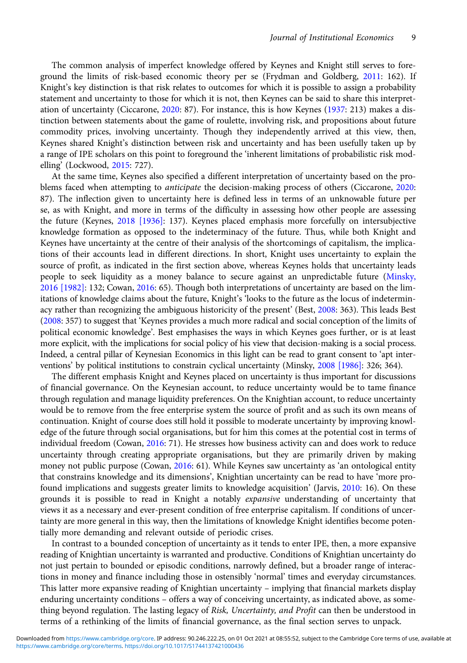The common analysis of imperfect knowledge offered by Keynes and Knight still serves to foreground the limits of risk-based economic theory per se (Frydman and Goldberg, [2011](#page-13-0): 162). If Knight's key distinction is that risk relates to outcomes for which it is possible to assign a probability statement and uncertainty to those for which it is not, then Keynes can be said to share this interpretation of uncertainty (Ciccarone, [2020:](#page-12-0) 87). For instance, this is how Keynes ([1937:](#page-13-0) 213) makes a distinction between statements about the game of roulette, involving risk, and propositions about future commodity prices, involving uncertainty. Though they independently arrived at this view, then, Keynes shared Knight's distinction between risk and uncertainty and has been usefully taken up by a range of IPE scholars on this point to foreground the 'inherent limitations of probabilistic risk modelling' (Lockwood, [2015:](#page-13-0) 727).

At the same time, Keynes also specified a different interpretation of uncertainty based on the problems faced when attempting to *anticipate* the decision-making process of others (Ciccarone, [2020](#page-12-0): 87). The inflection given to uncertainty here is defined less in terms of an unknowable future per se, as with Knight, and more in terms of the difficulty in assessing how other people are assessing the future (Keynes, [2018 \[1936\]](#page-13-0): 137). Keynes placed emphasis more forcefully on intersubjective knowledge formation as opposed to the indeterminacy of the future. Thus, while both Knight and Keynes have uncertainty at the centre of their analysis of the shortcomings of capitalism, the implications of their accounts lead in different directions. In short, Knight uses uncertainty to explain the source of profit, as indicated in the first section above, whereas Keynes holds that uncertainty leads people to seek liquidity as a money balance to secure against an unpredictable future [\(Minsky,](#page-13-0) [2016 \[1982\]](#page-13-0): 132; Cowan, [2016](#page-12-0): 65). Though both interpretations of uncertainty are based on the limitations of knowledge claims about the future, Knight's 'looks to the future as the locus of indeterminacy rather than recognizing the ambiguous historicity of the present' (Best, [2008](#page-12-0): 363). This leads Best ([2008:](#page-12-0) 357) to suggest that 'Keynes provides a much more radical and social conception of the limits of political economic knowledge'. Best emphasises the ways in which Keynes goes further, or is at least more explicit, with the implications for social policy of his view that decision-making is a social process. Indeed, a central pillar of Keynesian Economics in this light can be read to grant consent to 'apt interventions' by political institutions to constrain cyclical uncertainty (Minsky, [2008 \[1986\]:](#page-13-0) 326; 364).

The different emphasis Knight and Keynes placed on uncertainty is thus important for discussions of financial governance. On the Keynesian account, to reduce uncertainty would be to tame finance through regulation and manage liquidity preferences. On the Knightian account, to reduce uncertainty would be to remove from the free enterprise system the source of profit and as such its own means of continuation. Knight of course does still hold it possible to moderate uncertainty by improving knowledge of the future through social organisations, but for him this comes at the potential cost in terms of individual freedom (Cowan, [2016](#page-12-0): 71). He stresses how business activity can and does work to reduce uncertainty through creating appropriate organisations, but they are primarily driven by making money not public purpose (Cowan, [2016](#page-12-0): 61). While Keynes saw uncertainty as 'an ontological entity that constrains knowledge and its dimensions', Knightian uncertainty can be read to have 'more profound implications and suggests greater limits to knowledge acquisition' (Jarvis, [2010](#page-13-0): 16). On these grounds it is possible to read in Knight a notably expansive understanding of uncertainty that views it as a necessary and ever-present condition of free enterprise capitalism. If conditions of uncertainty are more general in this way, then the limitations of knowledge Knight identifies become potentially more demanding and relevant outside of periodic crises.

In contrast to a bounded conception of uncertainty as it tends to enter IPE, then, a more expansive reading of Knightian uncertainty is warranted and productive. Conditions of Knightian uncertainty do not just pertain to bounded or episodic conditions, narrowly defined, but a broader range of interactions in money and finance including those in ostensibly 'normal' times and everyday circumstances. This latter more expansive reading of Knightian uncertainty – implying that financial markets display enduring uncertainty conditions – offers a way of conceiving uncertainty, as indicated above, as something beyond regulation. The lasting legacy of Risk, Uncertainty, and Profit can then be understood in terms of a rethinking of the limits of financial governance, as the final section serves to unpack.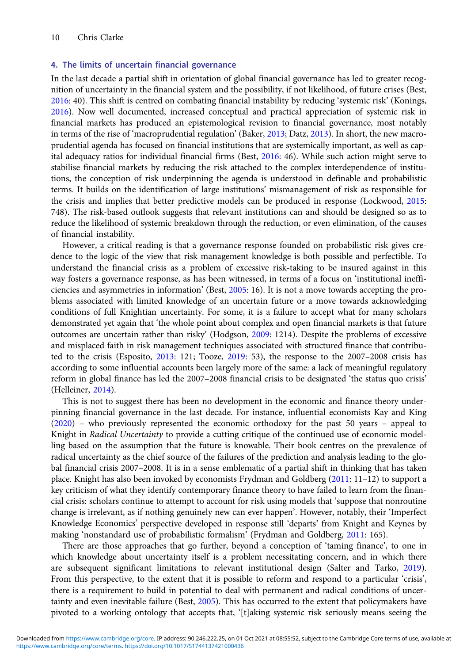### 4. The limits of uncertain financial governance

In the last decade a partial shift in orientation of global financial governance has led to greater recognition of uncertainty in the financial system and the possibility, if not likelihood, of future crises (Best, [2016:](#page-12-0) 40). This shift is centred on combating financial instability by reducing 'systemic risk' (Konings, [2016\)](#page-13-0). Now well documented, increased conceptual and practical appreciation of systemic risk in financial markets has produced an epistemological revision to financial governance, most notably in terms of the rise of 'macroprudential regulation' (Baker, [2013;](#page-12-0) Datz, [2013\)](#page-13-0). In short, the new macroprudential agenda has focused on financial institutions that are systemically important, as well as capital adequacy ratios for individual financial firms (Best, [2016:](#page-12-0) 46). While such action might serve to stabilise financial markets by reducing the risk attached to the complex interdependence of institutions, the conception of risk underpinning the agenda is understood in definable and probabilistic terms. It builds on the identification of large institutions' mismanagement of risk as responsible for the crisis and implies that better predictive models can be produced in response (Lockwood, [2015:](#page-13-0) 748). The risk-based outlook suggests that relevant institutions can and should be designed so as to reduce the likelihood of systemic breakdown through the reduction, or even elimination, of the causes of financial instability.

However, a critical reading is that a governance response founded on probabilistic risk gives credence to the logic of the view that risk management knowledge is both possible and perfectible. To understand the financial crisis as a problem of excessive risk-taking to be insured against in this way fosters a governance response, as has been witnessed, in terms of a focus on 'institutional inefficiencies and asymmetries in information' (Best, [2005](#page-12-0): 16). It is not a move towards accepting the problems associated with limited knowledge of an uncertain future or a move towards acknowledging conditions of full Knightian uncertainty. For some, it is a failure to accept what for many scholars demonstrated yet again that 'the whole point about complex and open financial markets is that future outcomes are uncertain rather than risky' (Hodgson, [2009:](#page-13-0) 1214). Despite the problems of excessive and misplaced faith in risk management techniques associated with structured finance that contributed to the crisis (Esposito, [2013:](#page-13-0) 121; Tooze, [2019](#page-14-0): 53), the response to the 2007–2008 crisis has according to some influential accounts been largely more of the same: a lack of meaningful regulatory reform in global finance has led the 2007–2008 financial crisis to be designated 'the status quo crisis' (Helleiner, [2014](#page-13-0)).

This is not to suggest there has been no development in the economic and finance theory underpinning financial governance in the last decade. For instance, influential economists Kay and King [\(2020\)](#page-13-0) – who previously represented the economic orthodoxy for the past 50 years – appeal to Knight in Radical Uncertainty to provide a cutting critique of the continued use of economic modelling based on the assumption that the future is knowable. Their book centres on the prevalence of radical uncertainty as the chief source of the failures of the prediction and analysis leading to the global financial crisis 2007–2008. It is in a sense emblematic of a partial shift in thinking that has taken place. Knight has also been invoked by economists Frydman and Goldberg [\(2011](#page-13-0): 11–12) to support a key criticism of what they identify contemporary finance theory to have failed to learn from the financial crisis: scholars continue to attempt to account for risk using models that 'suppose that nonroutine change is irrelevant, as if nothing genuinely new can ever happen'. However, notably, their 'Imperfect Knowledge Economics' perspective developed in response still 'departs' from Knight and Keynes by making 'nonstandard use of probabilistic formalism' (Frydman and Goldberg, [2011](#page-13-0): 165).

There are those approaches that go further, beyond a conception of 'taming finance', to one in which knowledge about uncertainty itself is a problem necessitating concern, and in which there are subsequent significant limitations to relevant institutional design (Salter and Tarko, [2019](#page-14-0)). From this perspective, to the extent that it is possible to reform and respond to a particular 'crisis', there is a requirement to build in potential to deal with permanent and radical conditions of uncertainty and even inevitable failure (Best, [2005\)](#page-12-0). This has occurred to the extent that policymakers have pivoted to a working ontology that accepts that, '[t]aking systemic risk seriously means seeing the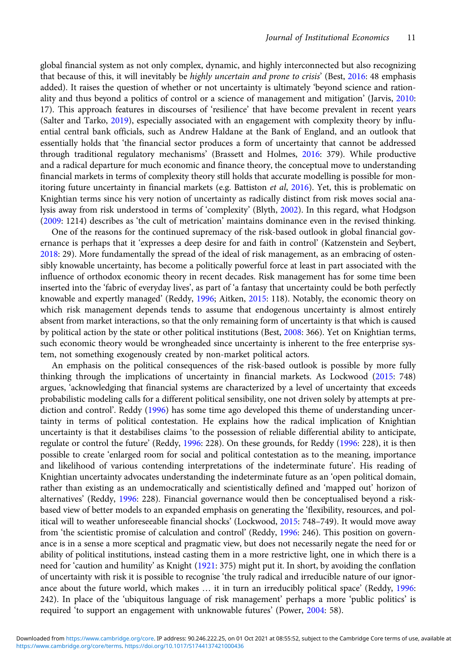global financial system as not only complex, dynamic, and highly interconnected but also recognizing that because of this, it will inevitably be highly uncertain and prone to crisis' (Best, [2016](#page-12-0): 48 emphasis added). It raises the question of whether or not uncertainty is ultimately 'beyond science and rationality and thus beyond a politics of control or a science of management and mitigation' (Jarvis, [2010](#page-13-0): 17). This approach features in discourses of 'resilience' that have become prevalent in recent years (Salter and Tarko, [2019\)](#page-14-0), especially associated with an engagement with complexity theory by influential central bank officials, such as Andrew Haldane at the Bank of England, and an outlook that essentially holds that 'the financial sector produces a form of uncertainty that cannot be addressed through traditional regulatory mechanisms' (Brassett and Holmes, [2016:](#page-12-0) 379). While productive and a radical departure for much economic and finance theory, the conceptual move to understanding financial markets in terms of complexity theory still holds that accurate modelling is possible for mon-itoring future uncertainty in financial markets (e.g. Battiston et al, [2016](#page-12-0)). Yet, this is problematic on Knightian terms since his very notion of uncertainty as radically distinct from risk moves social analysis away from risk understood in terms of 'complexity' (Blyth, [2002\)](#page-12-0). In this regard, what Hodgson ([2009:](#page-13-0) 1214) describes as 'the cult of metrication' maintains dominance even in the revised thinking.

One of the reasons for the continued supremacy of the risk-based outlook in global financial governance is perhaps that it 'expresses a deep desire for and faith in control' (Katzenstein and Seybert, [2018](#page-13-0): 29). More fundamentally the spread of the ideal of risk management, as an embracing of ostensibly knowable uncertainty, has become a politically powerful force at least in part associated with the influence of orthodox economic theory in recent decades. Risk management has for some time been inserted into the 'fabric of everyday lives', as part of 'a fantasy that uncertainty could be both perfectly knowable and expertly managed' (Reddy, [1996](#page-13-0); Aitken, [2015](#page-12-0): 118). Notably, the economic theory on which risk management depends tends to assume that endogenous uncertainty is almost entirely absent from market interactions, so that the only remaining form of uncertainty is that which is caused by political action by the state or other political institutions (Best, [2008:](#page-12-0) 366). Yet on Knightian terms, such economic theory would be wrongheaded since uncertainty is inherent to the free enterprise system, not something exogenously created by non-market political actors.

An emphasis on the political consequences of the risk-based outlook is possible by more fully thinking through the implications of uncertainty in financial markets. As Lockwood ([2015](#page-13-0): 748) argues, 'acknowledging that financial systems are characterized by a level of uncertainty that exceeds probabilistic modeling calls for a different political sensibility, one not driven solely by attempts at pre-diction and control'. Reddy [\(1996](#page-13-0)) has some time ago developed this theme of understanding uncertainty in terms of political contestation. He explains how the radical implication of Knightian uncertainty is that it destabilises claims 'to the possession of reliable differential ability to anticipate, regulate or control the future' (Reddy, [1996](#page-13-0): 228). On these grounds, for Reddy ([1996:](#page-13-0) 228), it is then possible to create 'enlarged room for social and political contestation as to the meaning, importance and likelihood of various contending interpretations of the indeterminate future'. His reading of Knightian uncertainty advocates understanding the indeterminate future as an 'open political domain, rather than existing as an undemocratically and scientistically defined and 'mapped out' horizon of alternatives' (Reddy, [1996](#page-13-0): 228). Financial governance would then be conceptualised beyond a riskbased view of better models to an expanded emphasis on generating the 'flexibility, resources, and political will to weather unforeseeable financial shocks' (Lockwood, [2015:](#page-13-0) 748–749). It would move away from 'the scientistic promise of calculation and control' (Reddy, [1996](#page-13-0): 246). This position on governance is in a sense a more sceptical and pragmatic view, but does not necessarily negate the need for or ability of political institutions, instead casting them in a more restrictive light, one in which there is a need for 'caution and humility' as Knight ([1921:](#page-13-0) 375) might put it. In short, by avoiding the conflation of uncertainty with risk it is possible to recognise 'the truly radical and irreducible nature of our ignorance about the future world, which makes … it in turn an irreducibly political space' (Reddy, [1996](#page-13-0): 242). In place of the 'ubiquitous language of risk management' perhaps a more 'public politics' is required 'to support an engagement with unknowable futures' (Power, [2004:](#page-13-0) 58).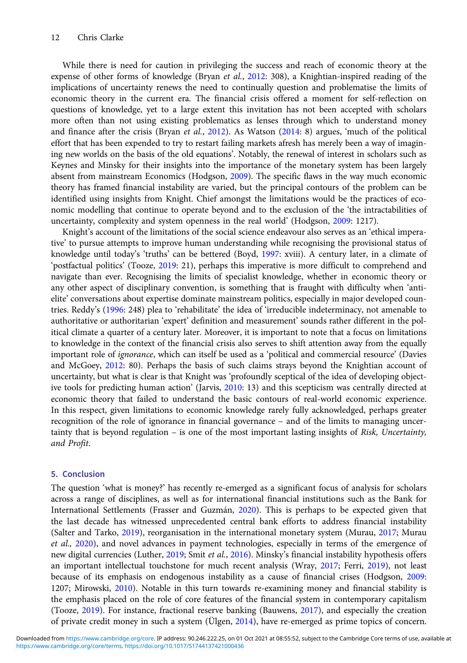While there is need for caution in privileging the success and reach of economic theory at the expense of other forms of knowledge (Bryan et al., [2012](#page-12-0): 308), a Knightian-inspired reading of the implications of uncertainty renews the need to continually question and problematise the limits of economic theory in the current era. The financial crisis offered a moment for self-reflection on questions of knowledge, yet to a large extent this invitation has not been accepted with scholars more often than not using existing problematics as lenses through which to understand money and finance after the crisis (Bryan et al., [2012](#page-12-0)). As Watson ([2014:](#page-14-0) 8) argues, 'much of the political effort that has been expended to try to restart failing markets afresh has merely been a way of imagining new worlds on the basis of the old equations'. Notably, the renewal of interest in scholars such as Keynes and Minsky for their insights into the importance of the monetary system has been largely absent from mainstream Economics (Hodgson, [2009\)](#page-13-0). The specific flaws in the way much economic theory has framed financial instability are varied, but the principal contours of the problem can be identified using insights from Knight. Chief amongst the limitations would be the practices of economic modelling that continue to operate beyond and to the exclusion of the 'the intractabilities of uncertainty, complexity and system openness in the real world' (Hodgson, [2009](#page-13-0): 1217).

Knight's account of the limitations of the social science endeavour also serves as an 'ethical imperative' to pursue attempts to improve human understanding while recognising the provisional status of knowledge until today's 'truths' can be bettered (Boyd, [1997:](#page-12-0) xviii). A century later, in a climate of 'postfactual politics' (Tooze, [2019](#page-14-0): 21), perhaps this imperative is more difficult to comprehend and navigate than ever. Recognising the limits of specialist knowledge, whether in economic theory or any other aspect of disciplinary convention, is something that is fraught with difficulty when 'antielite' conversations about expertise dominate mainstream politics, especially in major developed countries. Reddy's ([1996:](#page-13-0) 248) plea to 'rehabilitate' the idea of 'irreducible indeterminacy, not amenable to authoritative or authoritarian 'expert' definition and measurement' sounds rather different in the political climate a quarter of a century later. Moreover, it is important to note that a focus on limitations to knowledge in the context of the financial crisis also serves to shift attention away from the equally important role of ignorance, which can itself be used as a 'political and commercial resource' (Davies and McGoey, [2012:](#page-13-0) 80). Perhaps the basis of such claims strays beyond the Knightian account of uncertainty, but what is clear is that Knight was 'profoundly sceptical of the idea of developing objective tools for predicting human action' (Jarvis, [2010:](#page-13-0) 13) and this scepticism was centrally directed at economic theory that failed to understand the basic contours of real-world economic experience. In this respect, given limitations to economic knowledge rarely fully acknowledged, perhaps greater recognition of the role of ignorance in financial governance – and of the limits to managing uncertainty that is beyond regulation – is one of the most important lasting insights of Risk, Uncertainty, and Profit.

### 5. Conclusion

The question 'what is money?' has recently re-emerged as a significant focus of analysis for scholars across a range of disciplines, as well as for international financial institutions such as the Bank for International Settlements (Frasser and Guzmán, [2020\)](#page-13-0). This is perhaps to be expected given that the last decade has witnessed unprecedented central bank efforts to address financial instability (Salter and Tarko, [2019](#page-14-0)), reorganisation in the international monetary system (Murau, [2017;](#page-13-0) Murau et al., [2020](#page-13-0)), and novel advances in payment technologies, especially in terms of the emergence of new digital currencies (Luther, [2019](#page-13-0); Smit et al., [2016](#page-14-0)). Minsky's financial instability hypothesis offers an important intellectual touchstone for much recent analysis (Wray, [2017](#page-14-0); Ferri, [2019\)](#page-13-0), not least because of its emphasis on endogenous instability as a cause of financial crises (Hodgson, [2009:](#page-13-0) 1207; Mirowski, [2010](#page-13-0)). Notable in this turn towards re-examining money and financial stability is the emphasis placed on the role of core features of the financial system in contemporary capitalism (Tooze, [2019](#page-14-0)). For instance, fractional reserve banking (Bauwens, [2017](#page-12-0)), and especially the creation of private credit money in such a system (Ülgen, [2014](#page-14-0)), have re-emerged as prime topics of concern.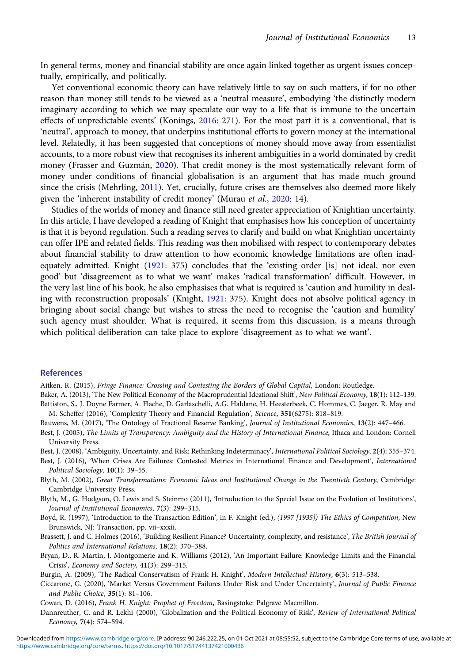<span id="page-12-0"></span>In general terms, money and financial stability are once again linked together as urgent issues conceptually, empirically, and politically.

Yet conventional economic theory can have relatively little to say on such matters, if for no other reason than money still tends to be viewed as a 'neutral measure', embodying 'the distinctly modern imaginary according to which we may speculate our way to a life that is immune to the uncertain effects of unpredictable events' (Konings, [2016:](#page-13-0) 271). For the most part it is a conventional, that is 'neutral', approach to money, that underpins institutional efforts to govern money at the international level. Relatedly, it has been suggested that conceptions of money should move away from essentialist accounts, to a more robust view that recognises its inherent ambiguities in a world dominated by credit money (Frasser and Guzmán, [2020](#page-13-0)). That credit money is the most systematically relevant form of money under conditions of financial globalisation is an argument that has made much ground since the crisis (Mehrling, [2011](#page-13-0)). Yet, crucially, future crises are themselves also deemed more likely given the 'inherent instability of credit money' (Murau et al., [2020:](#page-13-0) 14).

Studies of the worlds of money and finance still need greater appreciation of Knightian uncertainty. In this article, I have developed a reading of Knight that emphasises how his conception of uncertainty is that it is beyond regulation. Such a reading serves to clarify and build on what Knightian uncertainty can offer IPE and related fields. This reading was then mobilised with respect to contemporary debates about financial stability to draw attention to how economic knowledge limitations are often inadequately admitted. Knight ([1921](#page-13-0): 375) concludes that the 'existing order [is] not ideal, nor even good' but 'disagreement as to what we want' makes 'radical transformation' difficult. However, in the very last line of his book, he also emphasises that what is required is 'caution and humility in dealing with reconstruction proposals' (Knight, [1921:](#page-13-0) 375). Knight does not absolve political agency in bringing about social change but wishes to stress the need to recognise the 'caution and humility' such agency must shoulder. What is required, it seems from this discussion, is a means through which political deliberation can take place to explore 'disagreement as to what we want'.

#### References

Aitken, R. (2015), Fringe Finance: Crossing and Contesting the Borders of Global Capital, London: Routledge.

- Baker, A. (2013), 'The New Political Economy of the Macroprudential Ideational Shift', New Political Economy, 18(1): 112-139. Battiston, S., J. Doyne Farmer, A. Flache, D. Garlaschelli, A.G. Haldane, H. Heesterbeek, C. Hommes, C. Jaeger, R. May and M. Scheffer (2016), 'Complexity Theory and Financial Regulation', Science, 351(6275): 818–819.
- Bauwens, M. (2017), 'The Ontology of Fractional Reserve Banking', Journal of Institutional Economics, 13(2): 447-466.
- Best, J. (2005), The Limits of Transparency: Ambiguity and the History of International Finance, Ithaca and London: Cornell University Press.
- Best, J. (2008), 'Ambiguity, Uncertainty, and Risk: Rethinking Indeterminacy', International Political Sociology, 2(4): 355-374.
- Best, J. (2016), 'When Crises Are Failures: Contested Metrics in International Finance and Development', International Political Sociology, 10(1): 39–55.
- Blyth, M. (2002), Great Transformations: Economic Ideas and Institutional Change in the Twentieth Century, Cambridge: Cambridge University Press.
- Blyth, M., G. Hodgson, O. Lewis and S. Steinmo (2011), 'Introduction to the Special Issue on the Evolution of Institutions', Journal of Institutional Economics, 7(3): 299–315.
- Boyd, R. (1997), 'Introduction to the Transaction Edition', in F. Knight (ed.), (1997 [1935]) The Ethics of Competition, New Brunswick, NJ: Transaction, pp. vii–xxxii.
- Brassett, J. and C. Holmes (2016), 'Building Resilient Finance? Uncertainty, complexity, and resistance', The British Journal of Politics and International Relations, 18(2): 370–388.
- Bryan, D., R. Martin, J. Montgomerie and K. Williams (2012), 'An Important Failure: Knowledge Limits and the Financial Crisis', Economy and Society, 41(3): 299–315.
- Burgin, A. (2009), 'The Radical Conservatism of Frank H. Knight', Modern Intellectual History, 6(3): 513–538.
- Ciccarone, G. (2020), 'Market Versus Government Failures Under Risk and Under Uncertainty', Journal of Public Finance and Public Choice, 35(1): 81–106.

Cowan, D. (2016), Frank H. Knight: Prophet of Freedom, Basingstoke: Palgrave Macmillon.

Dannreuther, C. and R. Lekhi (2000), 'Globalization and the Political Economy of Risk', Review of International Political Economy, 7(4): 574–594.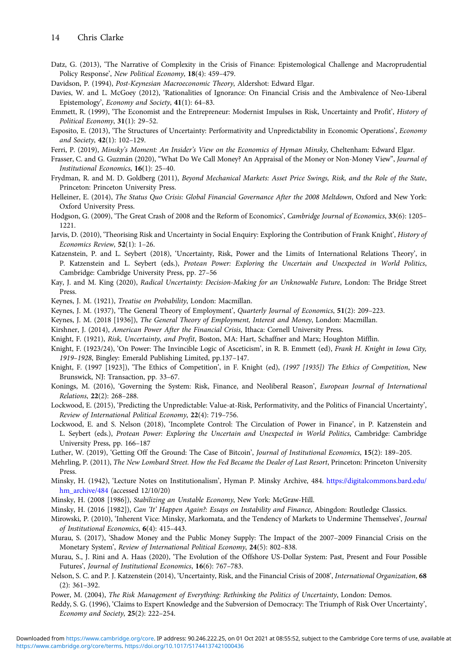<span id="page-13-0"></span>Datz, G. (2013), 'The Narrative of Complexity in the Crisis of Finance: Epistemological Challenge and Macroprudential Policy Response', New Political Economy, 18(4): 459–479.

Davidson, P. (1994), Post-Keynesian Macroeconomic Theory, Aldershot: Edward Elgar.

- Davies, W. and L. McGoey (2012), 'Rationalities of Ignorance: On Financial Crisis and the Ambivalence of Neo-Liberal Epistemology', Economy and Society, 41(1): 64–83.
- Emmett, R. (1999), 'The Economist and the Entrepreneur: Modernist Impulses in Risk, Uncertainty and Profit', History of Political Economy, 31(1): 29–52.
- Esposito, E. (2013), 'The Structures of Uncertainty: Performativity and Unpredictability in Economic Operations', Economy and Society, 42(1): 102–129.
- Ferri, P. (2019), Minsky's Moment: An Insider's View on the Economics of Hyman Minsky, Cheltenham: Edward Elgar.
- Frasser, C. and G. Guzmán (2020), "What Do We Call Money? An Appraisal of the Money or Non-Money View", Journal of Institutional Economics, 16(1): 25–40.
- Frydman, R. and M. D. Goldberg (2011), Beyond Mechanical Markets: Asset Price Swings, Risk, and the Role of the State, Princeton: Princeton University Press.
- Helleiner, E. (2014), The Status Quo Crisis: Global Financial Governance After the 2008 Meltdown, Oxford and New York: Oxford University Press.
- Hodgson, G. (2009), 'The Great Crash of 2008 and the Reform of Economics', Cambridge Journal of Economics, 33(6): 1205– 1221.
- Jarvis, D. (2010), 'Theorising Risk and Uncertainty in Social Enquiry: Exploring the Contribution of Frank Knight', History of Economics Review, 52(1): 1–26.
- Katzenstein, P. and L. Seybert (2018), 'Uncertainty, Risk, Power and the Limits of International Relations Theory', in P. Katzenstein and L. Seybert (eds.), Protean Power: Exploring the Uncertain and Unexpected in World Politics, Cambridge: Cambridge University Press, pp. 27–56
- Kay, J. and M. King (2020), Radical Uncertainty: Decision-Making for an Unknowable Future, London: The Bridge Street Press.
- Keynes, J. M. (1921), Treatise on Probability, London: Macmillan.
- Keynes, J. M. (1937), 'The General Theory of Employment', Quarterly Journal of Economics, 51(2): 209-223.
- Keynes, J. M. (2018 [1936]), The General Theory of Employment, Interest and Money, London: Macmillan.
- Kirshner, J. (2014), American Power After the Financial Crisis, Ithaca: Cornell University Press.
- Knight, F. (1921), Risk, Uncertainty, and Profit, Boston, MA: Hart, Schaffner and Marx; Houghton Mifflin.
- Knight, F. (1923/24), 'On Power: The Invincible Logic of Asceticism', in R. B. Emmett (ed), Frank H. Knight in Iowa City, 1919–1928, Bingley: Emerald Publishing Limited, pp.137–147.
- Knight, F. (1997 [1923]), 'The Ethics of Competition', in F. Knight (ed), (1997 [1935]) The Ethics of Competition, New Brunswick, NJ: Transaction, pp. 33–67.
- Konings, M. (2016), 'Governing the System: Risk, Finance, and Neoliberal Reason', European Journal of International Relations, 22(2): 268–288.
- Lockwood, E. (2015), 'Predicting the Unpredictable: Value-at-Risk, Performativity, and the Politics of Financial Uncertainty', Review of International Political Economy, 22(4): 719–756.
- Lockwood, E. and S. Nelson (2018), 'Incomplete Control: The Circulation of Power in Finance', in P. Katzenstein and L. Seybert (eds.), Protean Power: Exploring the Uncertain and Unexpected in World Politics, Cambridge: Cambridge University Press, pp. 166–187
- Luther, W. (2019), 'Getting Off the Ground: The Case of Bitcoin', Journal of Institutional Economics, 15(2): 189–205.
- Mehrling, P. (2011), The New Lombard Street. How the Fed Became the Dealer of Last Resort, Princeton: Princeton University Press.
- Minsky, H. (1942), 'Lecture Notes on Institutionalism', Hyman P. Minsky Archive, 484. [https://digitalcommons.bard.edu/](https://digitalcommons.bard.edu/hm_archive/484) [hm\\_archive/484](https://digitalcommons.bard.edu/hm_archive/484) (accessed 12/10/20)
- Minsky, H. (2008 [1986]), Stabilizing an Unstable Economy, New York: McGraw-Hill.
- Minsky, H. (2016 [1982]), Can 'It' Happen Again?: Essays on Instability and Finance, Abingdon: Routledge Classics.
- Mirowski, P. (2010), 'Inherent Vice: Minsky, Markomata, and the Tendency of Markets to Undermine Themselves', Journal of Institutional Economics, 6(4): 415–443.
- Murau, S. (2017), 'Shadow Money and the Public Money Supply: The Impact of the 2007–2009 Financial Crisis on the Monetary System', Review of International Political Economy, 24(5): 802–838.
- Murau, S., J. Rini and A. Haas (2020), 'The Evolution of the Offshore US-Dollar System: Past, Present and Four Possible Futures', Journal of Institutional Economics, 16(6): 767–783.
- Nelson, S. C. and P. J. Katzenstein (2014), 'Uncertainty, Risk, and the Financial Crisis of 2008', International Organization, 68 (2): 361–392.
- Power, M. (2004), The Risk Management of Everything: Rethinking the Politics of Uncertainty, London: Demos.
- Reddy, S. G. (1996), 'Claims to Expert Knowledge and the Subversion of Democracy: The Triumph of Risk Over Uncertainty', Economy and Society, 25(2): 222–254.